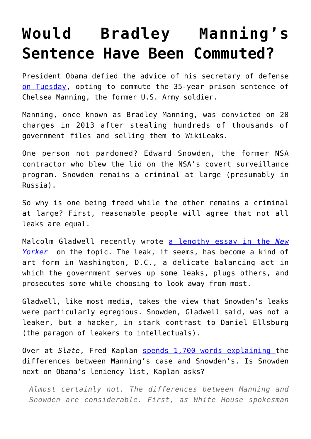## **[Would Bradley Manning's](https://intellectualtakeout.org/2017/01/would-bradley-mannings-sentence-have-been-commuted/) [Sentence Have Been Commuted?](https://intellectualtakeout.org/2017/01/would-bradley-mannings-sentence-have-been-commuted/)**

President Obama defied the advice of his secretary of defense [on Tuesday](http://www.cnn.com/2017/01/17/politics/chelsea-manning-sentence-commuted/), opting to commute the 35-year prison sentence of Chelsea Manning, the former U.S. Army soldier.

Manning, once known as Bradley Manning, was convicted on 20 charges in 2013 after stealing hundreds of thousands of government files and selling them to WikiLeaks.

One person not pardoned? Edward Snowden, the former NSA contractor who blew the lid on the NSA's covert surveillance program. Snowden remains a criminal at large (presumably in Russia).

So why is one being freed while the other remains a criminal at large? First, reasonable people will agree that not all leaks are equal.

Malcolm Gladwell recently wrote [a lengthy essay in the](http://www.newyorker.com/magazine/2016/12/19/daniel-ellsberg-edward-snowden-and-the-modern-whistle-blower) *[New](http://www.newyorker.com/magazine/2016/12/19/daniel-ellsberg-edward-snowden-and-the-modern-whistle-blower) [Yorker](http://www.newyorker.com/magazine/2016/12/19/daniel-ellsberg-edward-snowden-and-the-modern-whistle-blower)* on the topic. The leak, it seems, has become a kind of art form in Washington, D.C., a delicate balancing act in which the government serves up some leaks, plugs others, and prosecutes some while choosing to look away from most.

Gladwell, like most media, takes the view that Snowden's leaks were particularly egregious. Snowden, Gladwell said, was not a leaker, but a hacker, in stark contrast to Daniel Ellsburg (the paragon of leakers to intellectuals).

Over at *Slate*, Fred Kaplan [spends 1,700 words explaining t](http://www.slate.com/articles/news_and_politics/war_stories/2017/01/why_president_obama_was_right_to_grant_chelsea_manning_clemency.html)he differences between Manning's case and Snowden's. Is Snowden next on Obama's leniency list, Kaplan asks?

*Almost certainly not. The differences between Manning and Snowden are considerable. First, as White House spokesman*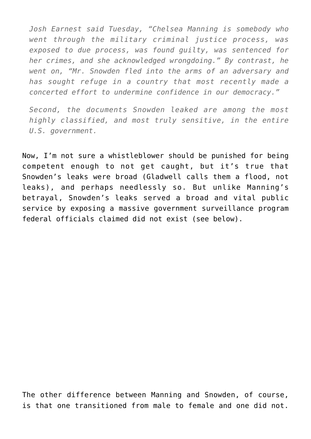*Josh Earnest said Tuesday, "Chelsea Manning is somebody who went through the military criminal justice process, was exposed to due process, was found guilty, was sentenced for her crimes, and she acknowledged wrongdoing." By contrast, he went on, "Mr. Snowden fled into the arms of an adversary and has sought refuge in a country that most recently made a concerted effort to undermine confidence in our democracy."*

*Second, the documents Snowden leaked are among the most highly classified, and most truly sensitive, in the entire U.S. government.*

Now, I'm not sure a whistleblower should be punished for being competent enough to not get caught, but it's true that Snowden's leaks were broad (Gladwell calls them a flood, not leaks), and perhaps needlessly so. But unlike Manning's betrayal, Snowden's leaks served a broad and vital public service by exposing a massive government surveillance program federal officials claimed did not exist (see below).

The other difference between Manning and Snowden, of course, is that one transitioned from male to female and one did not.